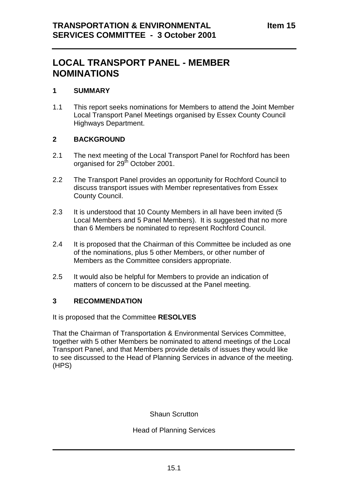## **LOCAL TRANSPORT PANEL - MEMBER NOMINATIONS**

## **1 SUMMARY**

1.1 This report seeks nominations for Members to attend the Joint Member Local Transport Panel Meetings organised by Essex County Council Highways Department.

## **2 BACKGROUND**

- 2.1 The next meeting of the Local Transport Panel for Rochford has been organised for 29<sup>th</sup> October 2001.
- 2.2 The Transport Panel provides an opportunity for Rochford Council to discuss transport issues with Member representatives from Essex County Council.
- 2.3 It is understood that 10 County Members in all have been invited (5 Local Members and 5 Panel Members). It is suggested that no more than 6 Members be nominated to represent Rochford Council.
- 2.4 It is proposed that the Chairman of this Committee be included as one of the nominations, plus 5 other Members, or other number of Members as the Committee considers appropriate.
- 2.5 It would also be helpful for Members to provide an indication of matters of concern to be discussed at the Panel meeting.

## **3 RECOMMENDATION**

It is proposed that the Committee **RESOLVES**

That the Chairman of Transportation & Environmental Services Committee, together with 5 other Members be nominated to attend meetings of the Local Transport Panel, and that Members provide details of issues they would like to see discussed to the Head of Planning Services in advance of the meeting. (HPS)

Shaun Scrutton

Head of Planning Services

\_\_\_\_\_\_\_\_\_\_\_\_\_\_\_\_\_\_\_\_\_\_\_\_\_\_\_\_\_\_\_\_\_\_\_\_\_\_\_\_\_\_\_\_\_\_\_\_\_\_\_\_\_\_\_\_\_\_\_\_\_\_